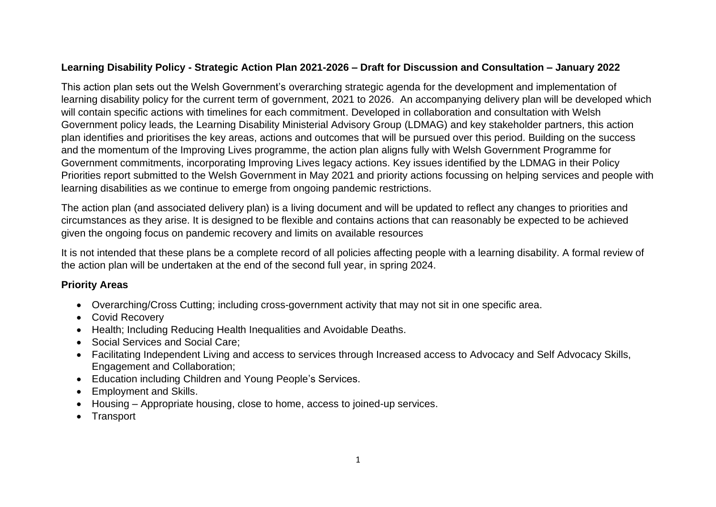## **Learning Disability Policy - Strategic Action Plan 2021-2026 – Draft for Discussion and Consultation – January 2022**

This action plan sets out the Welsh Government's overarching strategic agenda for the development and implementation of learning disability policy for the current term of government, 2021 to 2026. An accompanying delivery plan will be developed which will contain specific actions with timelines for each commitment. Developed in collaboration and consultation with Welsh Government policy leads, the Learning Disability Ministerial Advisory Group (LDMAG) and key stakeholder partners, this action plan identifies and prioritises the key areas, actions and outcomes that will be pursued over this period. Building on the success and the momentum of the Improving Lives programme, the action plan aligns fully with Welsh Government Programme for Government commitments, incorporating Improving Lives legacy actions. Key issues identified by the LDMAG in their Policy Priorities report submitted to the Welsh Government in May 2021 and priority actions focussing on helping services and people with learning disabilities as we continue to emerge from ongoing pandemic restrictions.

The action plan (and associated delivery plan) is a living document and will be updated to reflect any changes to priorities and circumstances as they arise. It is designed to be flexible and contains actions that can reasonably be expected to be achieved given the ongoing focus on pandemic recovery and limits on available resources

It is not intended that these plans be a complete record of all policies affecting people with a learning disability. A formal review of the action plan will be undertaken at the end of the second full year, in spring 2024.

## **Priority Areas**

- Overarching/Cross Cutting; including cross-government activity that may not sit in one specific area.
- Covid Recovery
- Health; Including Reducing Health Inequalities and Avoidable Deaths.
- Social Services and Social Care;
- Facilitating Independent Living and access to services through Increased access to Advocacy and Self Advocacy Skills, Engagement and Collaboration;
- Education including Children and Young People's Services.
- Employment and Skills.
- Housing Appropriate housing, close to home, access to joined-up services.
- Transport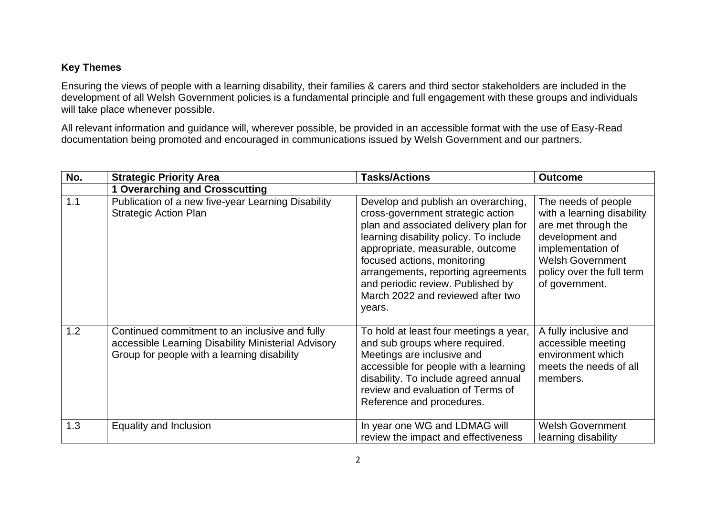## **Key Themes**

Ensuring the views of people with a learning disability, their families & carers and third sector stakeholders are included in the development of all Welsh Government policies is a fundamental principle and full engagement with these groups and individuals will take place whenever possible.

All relevant information and guidance will, wherever possible, be provided in an accessible format with the use of Easy-Read documentation being promoted and encouraged in communications issued by Welsh Government and our partners.

| No. | <b>Strategic Priority Area</b>                                                                                                                       | <b>Tasks/Actions</b>                                                                                                                                                                                                                                                                                                                                     | <b>Outcome</b>                                                                                                                                                                             |
|-----|------------------------------------------------------------------------------------------------------------------------------------------------------|----------------------------------------------------------------------------------------------------------------------------------------------------------------------------------------------------------------------------------------------------------------------------------------------------------------------------------------------------------|--------------------------------------------------------------------------------------------------------------------------------------------------------------------------------------------|
|     | <b>1 Overarching and Crosscutting</b>                                                                                                                |                                                                                                                                                                                                                                                                                                                                                          |                                                                                                                                                                                            |
| 1.1 | Publication of a new five-year Learning Disability<br><b>Strategic Action Plan</b>                                                                   | Develop and publish an overarching,<br>cross-government strategic action<br>plan and associated delivery plan for<br>learning disability policy. To include<br>appropriate, measurable, outcome<br>focused actions, monitoring<br>arrangements, reporting agreements<br>and periodic review. Published by<br>March 2022 and reviewed after two<br>years. | The needs of people<br>with a learning disability<br>are met through the<br>development and<br>implementation of<br><b>Welsh Government</b><br>policy over the full term<br>of government. |
| 1.2 | Continued commitment to an inclusive and fully<br>accessible Learning Disability Ministerial Advisory<br>Group for people with a learning disability | To hold at least four meetings a year,<br>and sub groups where required.<br>Meetings are inclusive and<br>accessible for people with a learning<br>disability. To include agreed annual<br>review and evaluation of Terms of<br>Reference and procedures.                                                                                                | A fully inclusive and<br>accessible meeting<br>environment which<br>meets the needs of all<br>members.                                                                                     |
| 1.3 | Equality and Inclusion                                                                                                                               | In year one WG and LDMAG will<br>review the impact and effectiveness                                                                                                                                                                                                                                                                                     | <b>Welsh Government</b><br>learning disability                                                                                                                                             |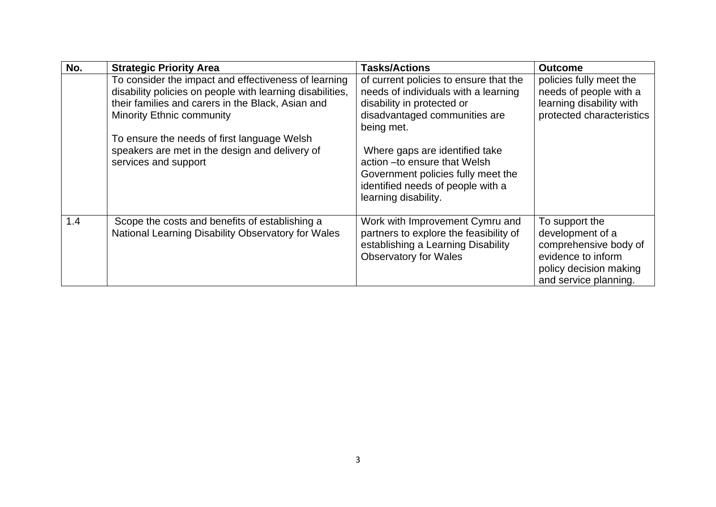| No. | <b>Strategic Priority Area</b>                                                                                                                                                                             | <b>Tasks/Actions</b>                                                                                                                                               | <b>Outcome</b>                                                                                                                       |
|-----|------------------------------------------------------------------------------------------------------------------------------------------------------------------------------------------------------------|--------------------------------------------------------------------------------------------------------------------------------------------------------------------|--------------------------------------------------------------------------------------------------------------------------------------|
|     | To consider the impact and effectiveness of learning<br>disability policies on people with learning disabilities,<br>their families and carers in the Black, Asian and<br><b>Minority Ethnic community</b> | of current policies to ensure that the<br>needs of individuals with a learning<br>disability in protected or<br>disadvantaged communities are<br>being met.        | policies fully meet the<br>needs of people with a<br>learning disability with<br>protected characteristics                           |
|     | To ensure the needs of first language Welsh<br>speakers are met in the design and delivery of<br>services and support                                                                                      | Where gaps are identified take<br>action - to ensure that Welsh<br>Government policies fully meet the<br>identified needs of people with a<br>learning disability. |                                                                                                                                      |
| 1.4 | Scope the costs and benefits of establishing a<br>National Learning Disability Observatory for Wales                                                                                                       | Work with Improvement Cymru and<br>partners to explore the feasibility of<br>establishing a Learning Disability<br><b>Observatory for Wales</b>                    | To support the<br>development of a<br>comprehensive body of<br>evidence to inform<br>policy decision making<br>and service planning. |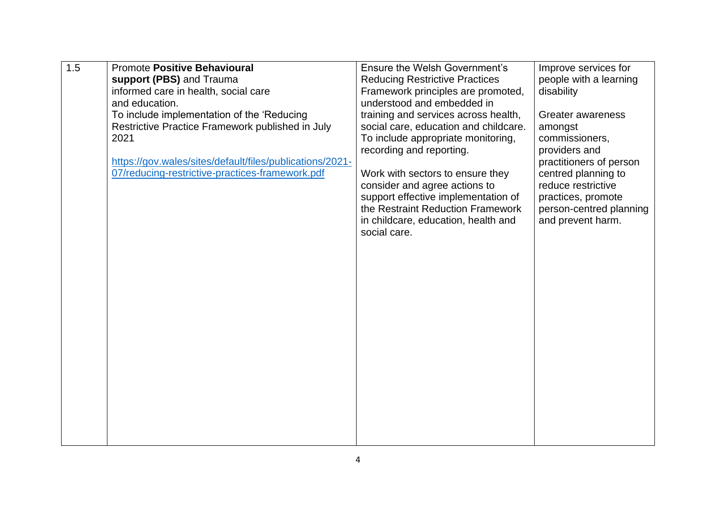| 1.5 | <b>Promote Positive Behavioural</b>                      | <b>Ensure the Welsh Government's</b>  | Improve services for    |
|-----|----------------------------------------------------------|---------------------------------------|-------------------------|
|     | support (PBS) and Trauma                                 | <b>Reducing Restrictive Practices</b> | people with a learning  |
|     | informed care in health, social care                     | Framework principles are promoted,    | disability              |
|     | and education.                                           | understood and embedded in            |                         |
|     | To include implementation of the 'Reducing               | training and services across health,  | Greater awareness       |
|     | Restrictive Practice Framework published in July         | social care, education and childcare. | amongst                 |
|     | 2021                                                     | To include appropriate monitoring,    | commissioners,          |
|     |                                                          | recording and reporting.              | providers and           |
|     | https://gov.wales/sites/default/files/publications/2021- |                                       | practitioners of person |
|     | 07/reducing-restrictive-practices-framework.pdf          | Work with sectors to ensure they      | centred planning to     |
|     |                                                          | consider and agree actions to         | reduce restrictive      |
|     |                                                          | support effective implementation of   | practices, promote      |
|     |                                                          | the Restraint Reduction Framework     | person-centred planning |
|     |                                                          | in childcare, education, health and   | and prevent harm.       |
|     |                                                          | social care.                          |                         |
|     |                                                          |                                       |                         |
|     |                                                          |                                       |                         |
|     |                                                          |                                       |                         |
|     |                                                          |                                       |                         |
|     |                                                          |                                       |                         |
|     |                                                          |                                       |                         |
|     |                                                          |                                       |                         |
|     |                                                          |                                       |                         |
|     |                                                          |                                       |                         |
|     |                                                          |                                       |                         |
|     |                                                          |                                       |                         |
|     |                                                          |                                       |                         |
|     |                                                          |                                       |                         |
|     |                                                          |                                       |                         |
|     |                                                          |                                       |                         |
|     |                                                          |                                       |                         |
|     |                                                          |                                       |                         |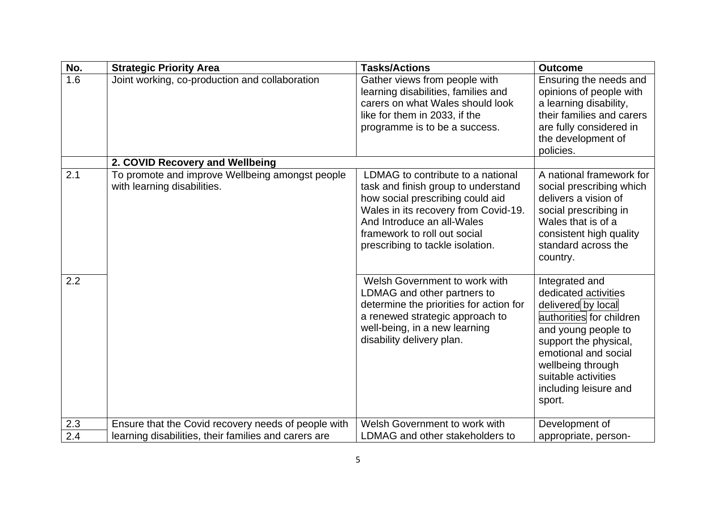| No. | <b>Strategic Priority Area</b>                                                 | <b>Tasks/Actions</b>                                                                                                                                                                                                                                   | <b>Outcome</b>                                                                                                                                                                                                                                  |
|-----|--------------------------------------------------------------------------------|--------------------------------------------------------------------------------------------------------------------------------------------------------------------------------------------------------------------------------------------------------|-------------------------------------------------------------------------------------------------------------------------------------------------------------------------------------------------------------------------------------------------|
| 1.6 | Joint working, co-production and collaboration                                 | Gather views from people with<br>learning disabilities, families and<br>carers on what Wales should look<br>like for them in 2033, if the<br>programme is to be a success.                                                                             | Ensuring the needs and<br>opinions of people with<br>a learning disability,<br>their families and carers<br>are fully considered in<br>the development of<br>policies.                                                                          |
|     | 2. COVID Recovery and Wellbeing                                                |                                                                                                                                                                                                                                                        |                                                                                                                                                                                                                                                 |
| 2.1 | To promote and improve Wellbeing amongst people<br>with learning disabilities. | LDMAG to contribute to a national<br>task and finish group to understand<br>how social prescribing could aid<br>Wales in its recovery from Covid-19.<br>And Introduce an all-Wales<br>framework to roll out social<br>prescribing to tackle isolation. | A national framework for<br>social prescribing which<br>delivers a vision of<br>social prescribing in<br>Wales that is of a<br>consistent high quality<br>standard across the<br>country.                                                       |
| 2.2 |                                                                                | Welsh Government to work with<br>LDMAG and other partners to<br>determine the priorities for action for<br>a renewed strategic approach to<br>well-being, in a new learning<br>disability delivery plan.                                               | Integrated and<br>dedicated activities<br>delivered by local<br>authorities for children<br>and young people to<br>support the physical,<br>emotional and social<br>wellbeing through<br>suitable activities<br>including leisure and<br>sport. |
| 2.3 | Ensure that the Covid recovery needs of people with                            | Welsh Government to work with                                                                                                                                                                                                                          | Development of                                                                                                                                                                                                                                  |
| 2.4 | learning disabilities, their families and carers are                           | LDMAG and other stakeholders to                                                                                                                                                                                                                        | appropriate, person-                                                                                                                                                                                                                            |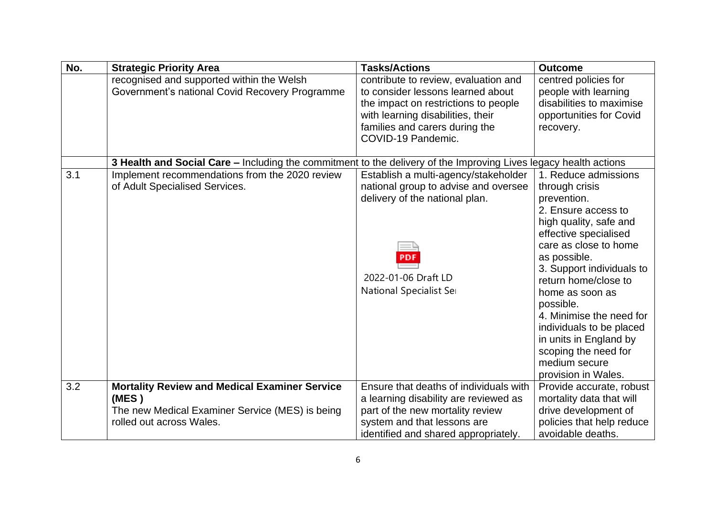| No. | <b>Strategic Priority Area</b>                                                                                                               | <b>Tasks/Actions</b>                                                                                                                                                                                           | <b>Outcome</b>                                                                                                                                                                                                                                                                                                                                                                                                  |
|-----|----------------------------------------------------------------------------------------------------------------------------------------------|----------------------------------------------------------------------------------------------------------------------------------------------------------------------------------------------------------------|-----------------------------------------------------------------------------------------------------------------------------------------------------------------------------------------------------------------------------------------------------------------------------------------------------------------------------------------------------------------------------------------------------------------|
|     | recognised and supported within the Welsh<br>Government's national Covid Recovery Programme                                                  | contribute to review, evaluation and<br>to consider lessons learned about<br>the impact on restrictions to people<br>with learning disabilities, their<br>families and carers during the<br>COVID-19 Pandemic. | centred policies for<br>people with learning<br>disabilities to maximise<br>opportunities for Covid<br>recovery.                                                                                                                                                                                                                                                                                                |
|     | 3 Health and Social Care - Including the commitment to the delivery of the Improving Lives legacy health actions                             |                                                                                                                                                                                                                |                                                                                                                                                                                                                                                                                                                                                                                                                 |
| 3.1 | Implement recommendations from the 2020 review<br>of Adult Specialised Services.                                                             | Establish a multi-agency/stakeholder<br>national group to advise and oversee<br>delivery of the national plan.<br>2022-01-06 Draft LD<br>National Specialist Set                                               | 1. Reduce admissions<br>through crisis<br>prevention.<br>2. Ensure access to<br>high quality, safe and<br>effective specialised<br>care as close to home<br>as possible.<br>3. Support individuals to<br>return home/close to<br>home as soon as<br>possible.<br>4. Minimise the need for<br>individuals to be placed<br>in units in England by<br>scoping the need for<br>medium secure<br>provision in Wales. |
| 3.2 | <b>Mortality Review and Medical Examiner Service</b><br>(MES)<br>The new Medical Examiner Service (MES) is being<br>rolled out across Wales. | Ensure that deaths of individuals with<br>a learning disability are reviewed as<br>part of the new mortality review<br>system and that lessons are<br>identified and shared appropriately.                     | Provide accurate, robust<br>mortality data that will<br>drive development of<br>policies that help reduce<br>avoidable deaths.                                                                                                                                                                                                                                                                                  |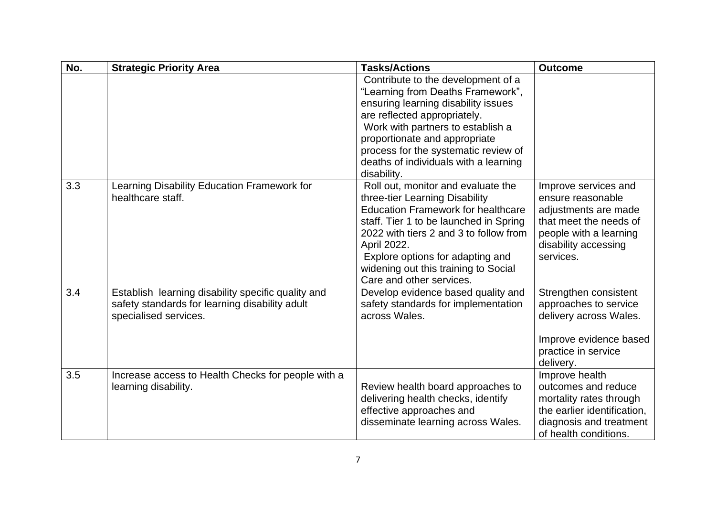| No. | <b>Strategic Priority Area</b>                                                                                                | <b>Tasks/Actions</b>                                                                                                                                                                                                                                                                                                         | <b>Outcome</b>                                                                                                                                             |
|-----|-------------------------------------------------------------------------------------------------------------------------------|------------------------------------------------------------------------------------------------------------------------------------------------------------------------------------------------------------------------------------------------------------------------------------------------------------------------------|------------------------------------------------------------------------------------------------------------------------------------------------------------|
|     |                                                                                                                               | Contribute to the development of a<br>"Learning from Deaths Framework",<br>ensuring learning disability issues<br>are reflected appropriately.<br>Work with partners to establish a<br>proportionate and appropriate<br>process for the systematic review of<br>deaths of individuals with a learning<br>disability.         |                                                                                                                                                            |
| 3.3 | Learning Disability Education Framework for<br>healthcare staff.                                                              | Roll out, monitor and evaluate the<br>three-tier Learning Disability<br><b>Education Framework for healthcare</b><br>staff. Tier 1 to be launched in Spring<br>2022 with tiers 2 and 3 to follow from<br>April 2022.<br>Explore options for adapting and<br>widening out this training to Social<br>Care and other services. | Improve services and<br>ensure reasonable<br>adjustments are made<br>that meet the needs of<br>people with a learning<br>disability accessing<br>services. |
| 3.4 | Establish learning disability specific quality and<br>safety standards for learning disability adult<br>specialised services. | Develop evidence based quality and<br>safety standards for implementation<br>across Wales.                                                                                                                                                                                                                                   | Strengthen consistent<br>approaches to service<br>delivery across Wales.<br>Improve evidence based<br>practice in service<br>delivery.                     |
| 3.5 | Increase access to Health Checks for people with a<br>learning disability.                                                    | Review health board approaches to<br>delivering health checks, identify<br>effective approaches and<br>disseminate learning across Wales.                                                                                                                                                                                    | Improve health<br>outcomes and reduce<br>mortality rates through<br>the earlier identification,<br>diagnosis and treatment<br>of health conditions.        |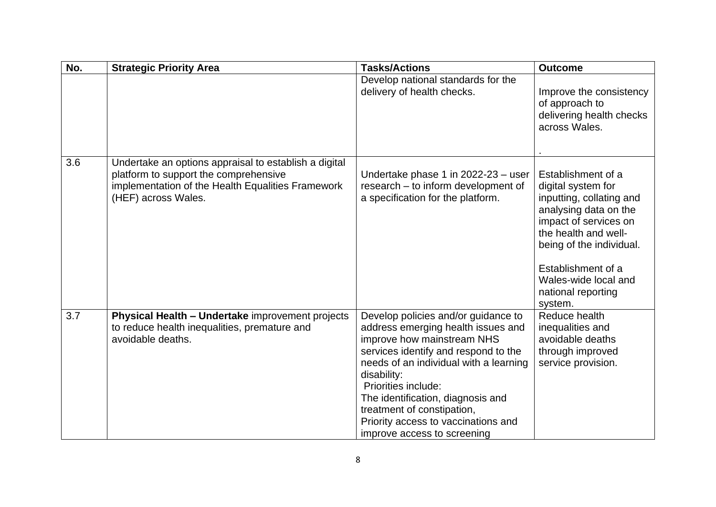| No. | <b>Strategic Priority Area</b>                                                                                                                                             | <b>Tasks/Actions</b>                                                                                                                                                                                                                                                                                                                                                     | <b>Outcome</b>                                                                                                                                                                                                                                            |
|-----|----------------------------------------------------------------------------------------------------------------------------------------------------------------------------|--------------------------------------------------------------------------------------------------------------------------------------------------------------------------------------------------------------------------------------------------------------------------------------------------------------------------------------------------------------------------|-----------------------------------------------------------------------------------------------------------------------------------------------------------------------------------------------------------------------------------------------------------|
|     |                                                                                                                                                                            | Develop national standards for the<br>delivery of health checks.                                                                                                                                                                                                                                                                                                         | Improve the consistency<br>of approach to<br>delivering health checks<br>across Wales.                                                                                                                                                                    |
| 3.6 | Undertake an options appraisal to establish a digital<br>platform to support the comprehensive<br>implementation of the Health Equalities Framework<br>(HEF) across Wales. | Undertake phase 1 in 2022-23 - user<br>research - to inform development of<br>a specification for the platform.                                                                                                                                                                                                                                                          | Establishment of a<br>digital system for<br>inputting, collating and<br>analysing data on the<br>impact of services on<br>the health and well-<br>being of the individual.<br>Establishment of a<br>Wales-wide local and<br>national reporting<br>system. |
| 3.7 | Physical Health - Undertake improvement projects<br>to reduce health inequalities, premature and<br>avoidable deaths.                                                      | Develop policies and/or guidance to<br>address emerging health issues and<br>improve how mainstream NHS<br>services identify and respond to the<br>needs of an individual with a learning<br>disability:<br>Priorities include:<br>The identification, diagnosis and<br>treatment of constipation,<br>Priority access to vaccinations and<br>improve access to screening | Reduce health<br>inequalities and<br>avoidable deaths<br>through improved<br>service provision.                                                                                                                                                           |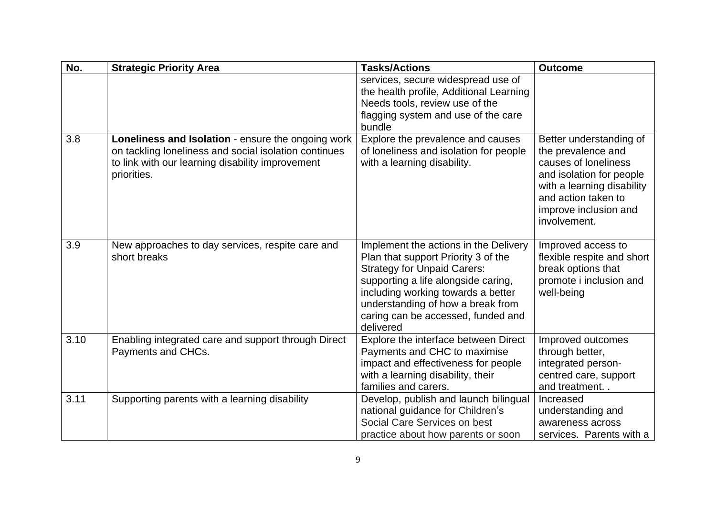| No.  | <b>Strategic Priority Area</b>                                                                                                                                                 | <b>Tasks/Actions</b>                                                                                                                                                                                                                                                                    | <b>Outcome</b>                                                                                                                                                                                  |
|------|--------------------------------------------------------------------------------------------------------------------------------------------------------------------------------|-----------------------------------------------------------------------------------------------------------------------------------------------------------------------------------------------------------------------------------------------------------------------------------------|-------------------------------------------------------------------------------------------------------------------------------------------------------------------------------------------------|
|      |                                                                                                                                                                                | services, secure widespread use of<br>the health profile, Additional Learning<br>Needs tools, review use of the<br>flagging system and use of the care<br>bundle                                                                                                                        |                                                                                                                                                                                                 |
| 3.8  | Loneliness and Isolation - ensure the ongoing work<br>on tackling loneliness and social isolation continues<br>to link with our learning disability improvement<br>priorities. | Explore the prevalence and causes<br>of loneliness and isolation for people<br>with a learning disability.                                                                                                                                                                              | Better understanding of<br>the prevalence and<br>causes of loneliness<br>and isolation for people<br>with a learning disability<br>and action taken to<br>improve inclusion and<br>involvement. |
| 3.9  | New approaches to day services, respite care and<br>short breaks                                                                                                               | Implement the actions in the Delivery<br>Plan that support Priority 3 of the<br><b>Strategy for Unpaid Carers:</b><br>supporting a life alongside caring,<br>including working towards a better<br>understanding of how a break from<br>caring can be accessed, funded and<br>delivered | Improved access to<br>flexible respite and short<br>break options that<br>promote i inclusion and<br>well-being                                                                                 |
| 3.10 | Enabling integrated care and support through Direct<br>Payments and CHCs.                                                                                                      | Explore the interface between Direct<br>Payments and CHC to maximise<br>impact and effectiveness for people<br>with a learning disability, their<br>families and carers.                                                                                                                | Improved outcomes<br>through better,<br>integrated person-<br>centred care, support<br>and treatment. .                                                                                         |
| 3.11 | Supporting parents with a learning disability                                                                                                                                  | Develop, publish and launch bilingual<br>national guidance for Children's<br>Social Care Services on best<br>practice about how parents or soon                                                                                                                                         | Increased<br>understanding and<br>awareness across<br>services. Parents with a                                                                                                                  |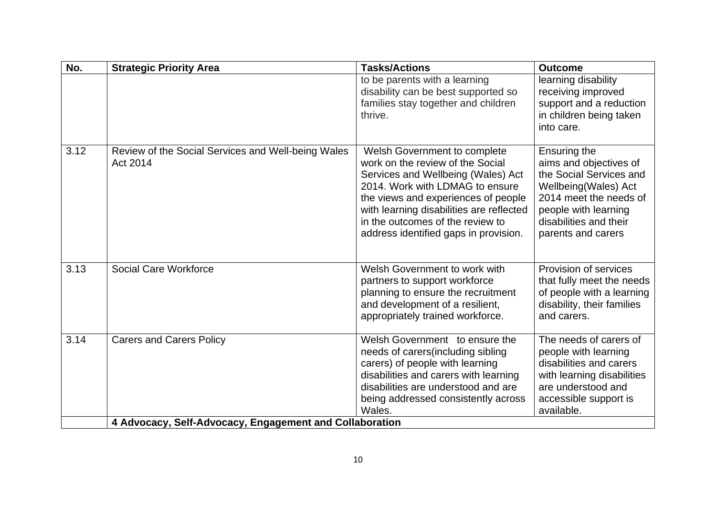| No.  | <b>Strategic Priority Area</b>                                 | <b>Tasks/Actions</b>                                                                                                                                                                                                                                                                                      | <b>Outcome</b>                                                                                                                                                                              |  |
|------|----------------------------------------------------------------|-----------------------------------------------------------------------------------------------------------------------------------------------------------------------------------------------------------------------------------------------------------------------------------------------------------|---------------------------------------------------------------------------------------------------------------------------------------------------------------------------------------------|--|
|      |                                                                | to be parents with a learning<br>disability can be best supported so<br>families stay together and children<br>thrive.                                                                                                                                                                                    | learning disability<br>receiving improved<br>support and a reduction<br>in children being taken<br>into care.                                                                               |  |
| 3.12 | Review of the Social Services and Well-being Wales<br>Act 2014 | Welsh Government to complete<br>work on the review of the Social<br>Services and Wellbeing (Wales) Act<br>2014. Work with LDMAG to ensure<br>the views and experiences of people<br>with learning disabilities are reflected<br>in the outcomes of the review to<br>address identified gaps in provision. | Ensuring the<br>aims and objectives of<br>the Social Services and<br>Wellbeing(Wales) Act<br>2014 meet the needs of<br>people with learning<br>disabilities and their<br>parents and carers |  |
| 3.13 | <b>Social Care Workforce</b>                                   | Welsh Government to work with<br>partners to support workforce<br>planning to ensure the recruitment<br>and development of a resilient,<br>appropriately trained workforce.                                                                                                                               | Provision of services<br>that fully meet the needs<br>of people with a learning<br>disability, their families<br>and carers.                                                                |  |
| 3.14 | <b>Carers and Carers Policy</b>                                | Welsh Government to ensure the<br>needs of carers (including sibling<br>carers) of people with learning<br>disabilities and carers with learning<br>disabilities are understood and are<br>being addressed consistently across<br>Wales.                                                                  | The needs of carers of<br>people with learning<br>disabilities and carers<br>with learning disabilities<br>are understood and<br>accessible support is<br>available.                        |  |
|      | 4 Advocacy, Self-Advocacy, Engagement and Collaboration        |                                                                                                                                                                                                                                                                                                           |                                                                                                                                                                                             |  |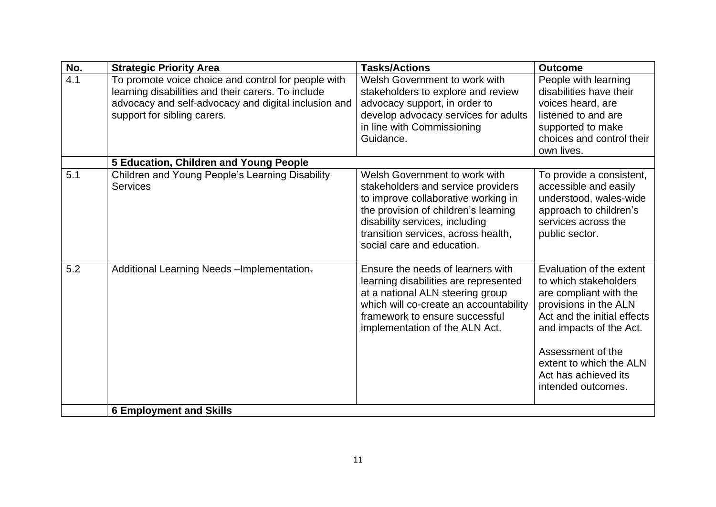| No. | <b>Strategic Priority Area</b>                                                                                                                                                                   | <b>Tasks/Actions</b>                                                                                                                                                                                                                                      | <b>Outcome</b>                                                                                                                                                                                                                                               |
|-----|--------------------------------------------------------------------------------------------------------------------------------------------------------------------------------------------------|-----------------------------------------------------------------------------------------------------------------------------------------------------------------------------------------------------------------------------------------------------------|--------------------------------------------------------------------------------------------------------------------------------------------------------------------------------------------------------------------------------------------------------------|
| 4.1 | To promote voice choice and control for people with<br>learning disabilities and their carers. To include<br>advocacy and self-advocacy and digital inclusion and<br>support for sibling carers. | Welsh Government to work with<br>stakeholders to explore and review<br>advocacy support, in order to<br>develop advocacy services for adults<br>in line with Commissioning<br>Guidance.                                                                   | People with learning<br>disabilities have their<br>voices heard, are<br>listened to and are<br>supported to make<br>choices and control their<br>own lives.                                                                                                  |
|     | 5 Education, Children and Young People                                                                                                                                                           |                                                                                                                                                                                                                                                           |                                                                                                                                                                                                                                                              |
| 5.1 | Children and Young People's Learning Disability<br><b>Services</b>                                                                                                                               | Welsh Government to work with<br>stakeholders and service providers<br>to improve collaborative working in<br>the provision of children's learning<br>disability services, including<br>transition services, across health,<br>social care and education. | To provide a consistent,<br>accessible and easily<br>understood, wales-wide<br>approach to children's<br>services across the<br>public sector.                                                                                                               |
| 5.2 | Additional Learning Needs - Implementation-                                                                                                                                                      | Ensure the needs of learners with<br>learning disabilities are represented<br>at a national ALN steering group<br>which will co-create an accountability<br>framework to ensure successful<br>implementation of the ALN Act.                              | Evaluation of the extent<br>to which stakeholders<br>are compliant with the<br>provisions in the ALN<br>Act and the initial effects<br>and impacts of the Act.<br>Assessment of the<br>extent to which the ALN<br>Act has achieved its<br>intended outcomes. |
|     | <b>6 Employment and Skills</b>                                                                                                                                                                   |                                                                                                                                                                                                                                                           |                                                                                                                                                                                                                                                              |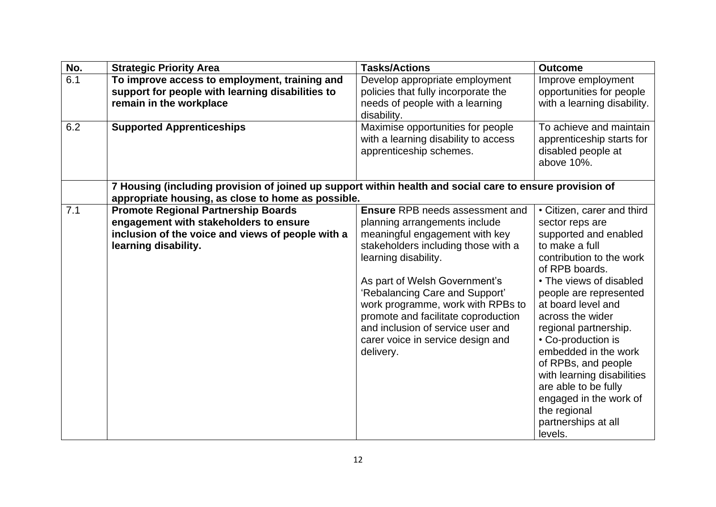| No. | <b>Strategic Priority Area</b>                                                                                                                                    | <b>Tasks/Actions</b>                                                                                                                                                                                                                                                                                                                                                                                           | <b>Outcome</b>                                                                                                                                                                                                                                                                                                                                                                                                                                                        |
|-----|-------------------------------------------------------------------------------------------------------------------------------------------------------------------|----------------------------------------------------------------------------------------------------------------------------------------------------------------------------------------------------------------------------------------------------------------------------------------------------------------------------------------------------------------------------------------------------------------|-----------------------------------------------------------------------------------------------------------------------------------------------------------------------------------------------------------------------------------------------------------------------------------------------------------------------------------------------------------------------------------------------------------------------------------------------------------------------|
| 6.1 | To improve access to employment, training and<br>support for people with learning disabilities to<br>remain in the workplace                                      | Develop appropriate employment<br>policies that fully incorporate the<br>needs of people with a learning<br>disability.                                                                                                                                                                                                                                                                                        | Improve employment<br>opportunities for people<br>with a learning disability.                                                                                                                                                                                                                                                                                                                                                                                         |
| 6.2 | <b>Supported Apprenticeships</b>                                                                                                                                  | Maximise opportunities for people<br>with a learning disability to access<br>apprenticeship schemes.                                                                                                                                                                                                                                                                                                           | To achieve and maintain<br>apprenticeship starts for<br>disabled people at<br>above 10%.                                                                                                                                                                                                                                                                                                                                                                              |
|     | 7 Housing (including provision of joined up support within health and social care to ensure provision of<br>appropriate housing, as close to home as possible.    |                                                                                                                                                                                                                                                                                                                                                                                                                |                                                                                                                                                                                                                                                                                                                                                                                                                                                                       |
| 7.1 | <b>Promote Regional Partnership Boards</b><br>engagement with stakeholders to ensure<br>inclusion of the voice and views of people with a<br>learning disability. | <b>Ensure RPB needs assessment and</b><br>planning arrangements include<br>meaningful engagement with key<br>stakeholders including those with a<br>learning disability.<br>As part of Welsh Government's<br>'Rebalancing Care and Support'<br>work programme, work with RPBs to<br>promote and facilitate coproduction<br>and inclusion of service user and<br>carer voice in service design and<br>delivery. | • Citizen, carer and third<br>sector reps are<br>supported and enabled<br>to make a full<br>contribution to the work<br>of RPB boards.<br>• The views of disabled<br>people are represented<br>at board level and<br>across the wider<br>regional partnership.<br>• Co-production is<br>embedded in the work<br>of RPBs, and people<br>with learning disabilities<br>are able to be fully<br>engaged in the work of<br>the regional<br>partnerships at all<br>levels. |